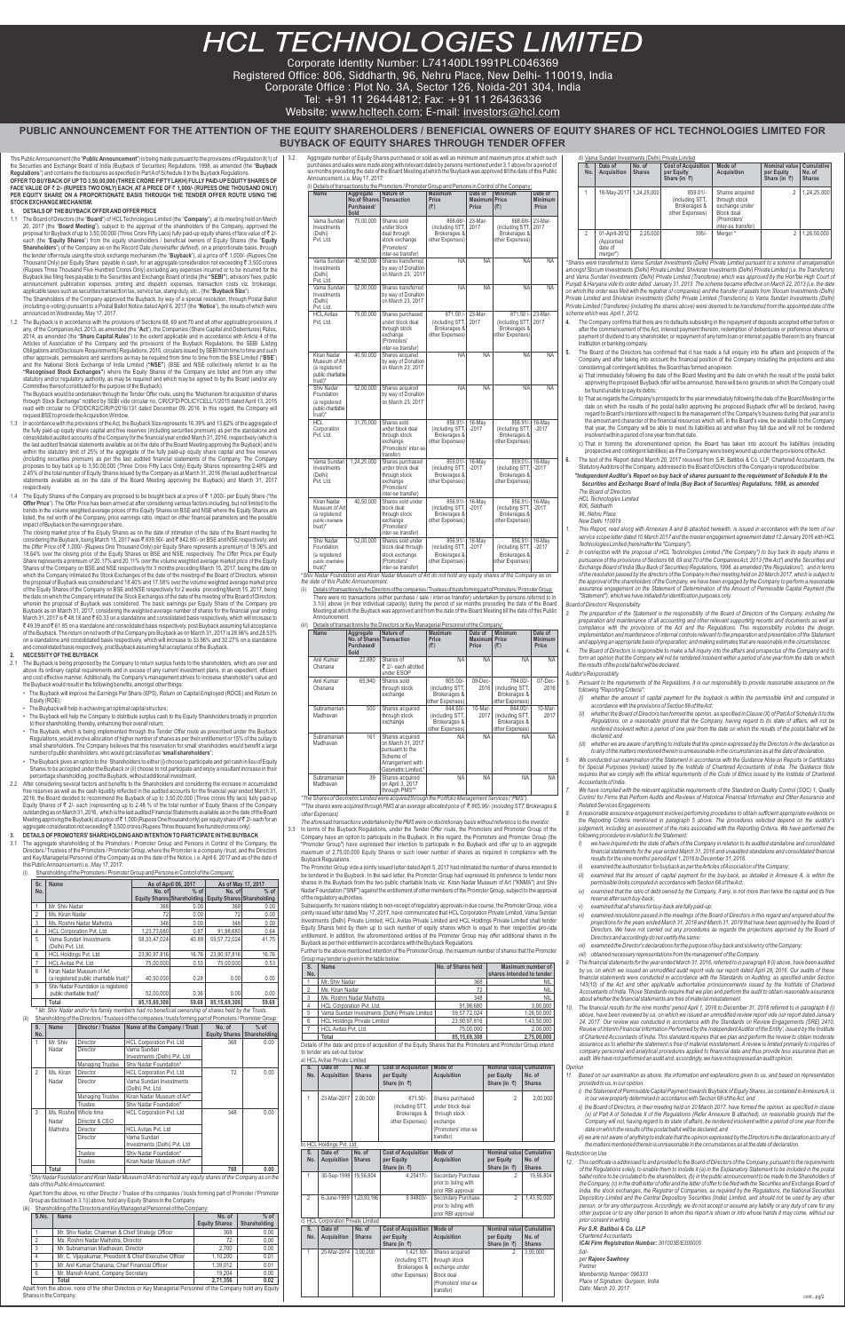# **HCL TECHNOLOGIES LIMITED**

Corporate Identity Number: L74140DL1991PLC046369

Registered Office: 806, Siddharth, 96, Nehru Place, New Delhi- 110019, India

Corporate Office : Plot No. 3A, Sector 126, Noida-201 304, India

Tel: +91 11 26444812; Fax: +91 11 26436336

Website: www.hcltech.com; E-mail: investors@hcl.com

# **PUBLIC ANNOUNCEMENT FOR THE ATTENTION OF THE EQUITY SHAREHOLDERS / BENEFICIAL OWNERS OF EQUITY SHARES OF HCL TECHNOLOGIES LIMITED FOR BUYBACK OF EQUITY SHARES THROUGH TENDER OFFER**

This Public Announcement (the "**Public Announcement**") is being made pursuant to the provisions of Regulation 8(1) of the Securities and Exchange Board of India (Buyback of Securities) Regulations, 1998, as amended (the "**Buyback Regulations**") and contains the disclosures as specified in Part Aof Schedule II to the Buyback Regulations.

**OFFER TO BUYBACK OF UPTO 3,50,00,000 (THREE CRORE FIFTYLAKH) FULLYPAID-UPEQUITYSHARES OF**  FACE VALUE OF ₹ 2/- (RUPEES TWO ONLY) EACH, AT A PRICE OF ₹ 1,000/- (RUPEES ONE THOUSAND ONLY) **PER EQUITY SHARE ON A PROPORTIONATE BASIS THROUGH THE TENDER OFFER ROUTE USING THE STOCK EXCHANGE MECHANISM.**

# **1. DETAILS OF THE BUYBACK OFFER AND OFFER PRICE**

1.1 The Board of Directors (the "**Board**") of HCL Technologies Limited (the "**Company**"), at its meeting held on March 20, 2017 (the "**Board Meeting**"), subject to the approval of the shareholders of the Company, approved the<br>proposal for Buyback of up to 3,50,00,000 (Three Crore Fifty Lacs) fully paid-up equity shares of face value of₹2/ each (the "**Equity Shares**") from the equity shareholders / beneficial owners of Equity Shares (the "**Equity Shareholders**") of the Company as on the Record Date (*hereinafter defined*), on a proportionate basis, through<br>the tender offer route using the stock exchange mechanism (the "**Buyback**"), at a price of₹ 1,000/- (Rupees Thousand Only) per Equity Share  $\,$  payable in cash, for an aggregate consideration not exceeding  $\bar{\bf\mathfrak{r}}$  3,500 crores (Rupees Three Thousand Five Hundred Crores Only) excluding any expenses incurred or to be incurred for the<br>Buyback like filing fees payable to the Securities and Exchange Board of India (the **"SEBI**"), advisors' fees, publ announcement publication expenses, printing and dispatch expenses, transaction costs viz. brokerage applicable taxes such as securities transaction tax, service tax, stamp duty, etc., (the "**Buyback Size**").

The Shareholders of the Company approved the Buyback, by way of a special resolution, through Postal Ballot (including e-voting) pursuant to a Postal Ballot Notice dated April 6, 2017 (the "**Notice**"), the results of which were announced on Wednesday, May 17, 2017.

1.2 The Buyback is in accordance with the provisions of Sections 68, 69 and 70 and all other applicable provisions, if any, of the Companies Act, 2013, as amended (the "**Act**"), the Companies (Share Capital and Debentures) Rules, 2014, as amended (the "**Share Capital Rules**") to the extent applicable and in accordance with Article 4 of the Articles of Association of the Company and the provisions of the Buyback Regulations, the SEBI (Listing Obligations and Disclosure Requirements) Regulations, 2015, circulars issued by SEBI from time to time and such other approvals, permissions and sanctions as may be required from time to time from the BSE Limited ("**BSE**") and the National Stock Exchange of India Limited (**"NSE"**) (BSE and NSE collectively referred to as the **"Recognised Stock Exchanges"**) where the Equity Shares of the Company are listed and from any other statutory and/or regulatory authority, as may be required and which may be agreed to by the Board (and/or any Committee thereof constituted for the purpose of the Buyback).

- 2.1 The Buyback is being proposed by the Company to return surplus funds to the shareholders, which are over and above its ordinary capital requirements and in excess of any current investment plans, in an expedient, efficient and cost effective manner. Additionally, the Company's management strives to increase shareholder's value and the Buyback would result in the following benefits, amongst other things:
	- The Buyback will improve the Earnings Per Share (EPS), Return on Capital Employed (ROCE) and Return on Equity (ROE);
	- The Buyback will help in achieving an optimal capital structure;
	- The Buyback will help the Company to distribute surplus cash to the Equity Shareholders broadly in proportion to their shareholding, thereby, enhancing their overall return;
	- The Buyback, which is being implemented through the Tender Offer route as prescribed under the Buyback Regulations, would involve allocation of higher number of shares as per their entitlement or 15% of the outlay to small shareholders. The Company believes that this reservation for small shareholders would benefit a large number of public shareholders, who would get classified as "**small shareholders**";
	- The Buyback gives an option to the Shareholders to either (i) choose to participate and get cash in lieu of Equity Shares to be accepted under the Buyback or (ii) choose to not participate and enjoy a resultant increase in their percentage shareholding, post the Buyback, without additional investment.
- 2.2 After considering several factors and benefits to the Shareholders and considering the increase in accumulated free reserves as well as the cash liquidity reflected in the audited accounts for the financial year ended March 31, 2016, the Board decided to recommend the Buyback of up to 3,50,00,000 (Three crores fifty lacs) fully paid-up Equity Shares of 2/- each (representing up to 2.48 % of the total number of Equity Shares of the Company ` which is the last audited Financial Statements av

The Buyback would be undertaken through the Tender Offer route, using the "Mechanism for acquisition of shares through Stock Exchange" notified by SEBI vide circular no. CIR/CFD/POLICYCELL/1/2015 dated April 13, 2015 read with circular no CFD/DCR2/CIR/P/2016/131 dated December 09, 2016. In this regard, the Company will request BSE to provide the Acquisition Window.

- 1.3 In accordance with the provisions of the Act, the Buyback Size represents 16.39% and 13.62% of the aggregate of the fully paid-up equity share capital and free reserves (including securities premium) as per the standalone and consolidated audited accounts of the Company for the financial year ended March 31, 2016, respectively (which is<br>the last audited financial statements available as on the date of the Board Meeting approving the Buyback) an within the statutory limit of 25% of the aggregate of the fully paid-up equity share capital and free reserves (including securities premium) as per the last audited financial statements of the Company. The Company proposes to buy back up to 3,50,00,000 (Three Crore Fifty Lacs Only) Equity Shares representing 2.48% and 2.45% of the total number of Equity Shares issued by the Company as at March 31, 2016 (the last audited financial statements available as on the date of the Board Meeting approving the Buyback) and March 31, 2017 respectively.
- 1.4 The Equity Shares of the Company are proposed to be bought back at a price of ₹ 1,000/- per Equity Share ("the **Offer Price**"). The Offer Price has been arrived at after considering various factors including, but not limited to the trends in the volume weighted average prices of the Equity Shares on BSE and NSE where the Equity Shares are listed, the net worth of the Company, price earnings ratio, impact on other financial parameters and the possible impact of Buyback on the earnings per share.

The closing market price of the Equity Shares as on the date of intimation of the date of the Board meeting for<br>considering the Buyback, being March 15, 2017 was₹ 839.90/- and ₹ 842.90/- on BSE and NSE respectively, and the Offer Price of₹ 1,000/- (Rupees One Thousand Only) per Equity Share represents a premium of 19.06% and 18.64% over the closing price of the Equity Shares on BSE and NSE, respectively. The Offer Price per Equity Share represents a premium of 20.17% and 20.11% over the volume weighted average market price of the Equity Shares of the Company on BSE and NSE respectively for 3 months preceding March 15, 2017, being the date or which the Company intimated the Stock Exchanges of the date of the meeting of the Board of Directors, wherein<br>the proposal of Buyback was considered and 18.40% and 17.58% over the volume weighted average market price of the Equity Shares of the Company on BSE and NSE respectively for 2 weeks preceding March 15, 2017, being the date on which the Company intimated the Stock Exchanges of the date of the meeting of the Board of Directors, wherein the proposal of Buyback was considered. The basic earnings per Equity Share of the Company pre Buyback as on March 31, 2017, considering the weighted average number of shares for the financial year ending March 31, 2017 is ` 48.18 and ` 60.33 on a standalone and consolidated basis respectively, which will increase to  $₹49.39$  and ₹61.85 on a standalone and consolidated basis respectively, post Buyback assuming full acceptance of the Buyback. The return on net worth of the Company pre Buyback as on March 31, 2017 is 28.96% and 28.53% on a standalone and consolidated basis respectively, which will increase to 33.96% and 32.27% on a standalone and consolidated basis respectively, post Buyback assuming full acceptance of the Buyback.

*\* Mr. Shiv Nadar and/or his family members had no beneficial ownership of shares held by the Trusts.* Shareholding of the Directors / Trustees of the companies / trusts forming part of Promoters of Promoters of Pr

#### **2. NECESSITYOF THE BUYBACK**

Further to the above mentioned intention of the Promoter Group, the maximum number of shares that the Promote Group may tender is given in the table below:

#### **3. DETAILS OF PROMOTERS' SHAREHOLDING AND INTENTION TO PARTICIPATE IN THE BUYBACK**

3.1 The aggregate shareholding of the Promoters / Promoter Group and Persons in Control of the Company, the Directors / Trustees of the Promoters / Promoter Group, where the Promoter is a company / trust, and the Directors and Key Managerial Personnel of the Company as on the date of the Notice, i.e. April 6, 2017 and as of the date of this Public Announcement i.e., May 17, 2017:

> Details of the date and price of acquisition of the Equity Shares that the Promoters and Promoter Group intend to tender are set-out below:

| <b>HCL Avitas Private Limited</b> |  |
|-----------------------------------|--|

(i) Shareholding of the Promoters / Promoter Group and Persons in Control of the Company:

| Sr.            | Name                                                                 |                                   | As of April 06, 2017 | As of May 17, 2017                |        |  |
|----------------|----------------------------------------------------------------------|-----------------------------------|----------------------|-----------------------------------|--------|--|
| No.            |                                                                      | No. of                            | $%$ of               | No. of                            | $%$ of |  |
|                |                                                                      | <b>Equity Shares Shareholding</b> |                      | <b>Equity Shares Shareholding</b> |        |  |
| 1              | Mr. Shiv Nadar                                                       | 368                               | 0.00                 | 368                               | 0.00   |  |
| $\overline{2}$ | Ms. Kiran Nadar                                                      | 72                                | 0.00                 | 72                                | 0.00   |  |
| 3              | Ms. Roshni Nadar Malhotra                                            | 348                               | 0.00                 | 348                               | 0.00   |  |
| 4              | HCL Corporation Pvt. Ltd.                                            | 1,23,73,680                       | 0.87                 | 91,98,680                         | 0.64   |  |
| 5              | Vama Sundari Investments<br>(Delhi) Pvt. Ltd.                        | 58, 33, 47, 024                   | 40.89                | 59.57.72.024                      | 41.75  |  |
| 6              | HCL Holdings Pvt. Ltd.                                               | 23.90.97.816                      | 16.76                | 23.90.97.816                      | 16.76  |  |
| 7              | HCL Avitas Pvt. Ltd.                                                 | 75.00.000                         | 0.53                 | 75.00.000                         | 0.53   |  |
| 8              | Kiran Nadar Museum of Art<br>(a registered public charitable trust)* | 40.50.000                         | 0.28                 | 0.00                              | 0.00   |  |
| 9              | Shiv Nadar Foundation (a registered<br>public charitable trust)*     | 52,00,000                         | 0.36                 | 0.00                              | 0.00   |  |
|                | Total                                                                | 85.15.69.308                      | 59.68                | 85.15.69.308                      | 59.68  |  |

| S.             | <b>Name</b> |                         | Director / Trustee   Name of the Company / Trust | No. of        | $%$ of       |
|----------------|-------------|-------------------------|--------------------------------------------------|---------------|--------------|
| No.            |             |                         |                                                  | Equity Shares | Shareholding |
| 1              | Mr. Shiv    | Director                | <b>HCL Corporation Pvt. Ltd</b>                  | 368           | 0.00         |
|                | Nadar       | Director                | Vama Sundari                                     |               |              |
|                |             |                         | Investments (Delhi) Pvt. Ltd                     |               |              |
|                |             | <b>Managing Trustee</b> | Shiv Nadar Foundation*                           |               |              |
| $\overline{2}$ | Ms. Kiran   | Director                | <b>HCL Corporation Pvt. Ltd</b>                  | 72            | 0.00         |
|                | Nadar       | <b>Director</b>         | Vama Sundari Investments                         |               |              |
|                |             |                         | (Delhi) Pvt. Ltd                                 |               |              |
|                |             | <b>Managing Trustee</b> | Kiran Nadar Museum of Art*                       |               |              |
|                |             | Trustee                 | Shiv Nadar Foundation*                           |               |              |
| 3              |             | Ms. Roshnil Whole time  | <b>HCL Corporation Pvt. Ltd</b>                  | 348           | 0.00         |
|                | Nadar       | Director & CEO          |                                                  |               |              |
|                | Malhotra    | <b>Director</b>         | <b>HCL Avitas Pvt. Ltd</b>                       |               |              |
|                |             | Director                | Vama Sundari                                     |               |              |
|                |             |                         | Investments (Delhi) Pvt. Ltd                     |               |              |
|                |             | Trustee                 | Shiv Nadar Foundation*                           |               |              |
|                |             | Trustee                 | Kiran Nadar Museum of Art*                       |               |              |
|                | Total       |                         |                                                  | 788           | 0.00         |

*\*Shiv Nadar Foundation and Kiran Nadar Museum of Art do not hold any equity shares of the Company as on the date of this Public Announcement.*

Apart from the above, no other Director / Trustee of the companies / trusts forming part of Promoter / Promoter Group as disclosed in 3.1(i) above, hold any Equity Shares in the Company.

(iii) Shareholding of the Directors and Key Managerial Personnel of the Company:

| S.No.          | Name                                                    | No. of               | $%$ of       |
|----------------|---------------------------------------------------------|----------------------|--------------|
|                |                                                         | <b>Equity Shares</b> | Shareholding |
|                | Mr. Shiv Nadar, Chairman & Chief Strategy Officer       | 368                  | 0.00         |
| $\overline{2}$ | Ms. Roshni Nadar Malhotra, Director                     | 72                   | 0.00         |
| 3              | Mr. Subramanian Madhavan, Director                      | 2.700                | 0.00         |
| 4              | Mr. C. Vijayakumar, President & Chief Executive Officer | 1.10.200             | 0.01         |
| 5              | Mr. Anil Kumar Chanana, Chief Financial Officer         | 1.39.012             | 0.01         |
| 6              | Mr. Manish Anand, Company Secretary                     | 19.204               | 0.00         |
|                | Total                                                   | 2.71.356             | 0.02         |
|                | .<br>___                                                |                      |              |

Apart from the above, none of the other Directors or Key Managerial Personnel of the Company hold any Equity Shares in the Company.

3.2 Aggregate number of Equity Shares purchased or sold as well as minimum and maximum price at which such purchases and sales were made along with relevant dates by persons mentioned under 3.1 above for a period of six months preceding the date of the Board Meeting at which the Buyback was approved till the date of this Public Announcement, i.e. May 17, 2017:

3.3 In terms of the Buyback Regulations, under the Tender Offer route, the Promoters and Promoter Group of the Company have an option to participate in the Buyback. In this regard, the Promoters and Promoter Group (the "Promoter Group") have expressed their intention to participate in the Buyback and offer up to an aggregate maximum of 2,75,00,000 Equity Shares or such lower number of shares as required in compliance with the Buyback Regulations.

| Name                                                                               |                                                                       | (i) Details of transactions by the Promoters / Promoter Group and Persons in Control of the Company:<br>Nature of                                                                                          | <b>Maximum</b>                                                   | Date of                       | <b>Minimum</b>                                                          | Date of                 |
|------------------------------------------------------------------------------------|-----------------------------------------------------------------------|------------------------------------------------------------------------------------------------------------------------------------------------------------------------------------------------------------|------------------------------------------------------------------|-------------------------------|-------------------------------------------------------------------------|-------------------------|
|                                                                                    | Aggregate Nature of<br>No.of Shares Transaction<br>Purchased/<br>Sold |                                                                                                                                                                                                            | Price<br>(5)                                                     | <b>Maximum Price</b><br>Price | (5)                                                                     | <b>Minimum</b><br>Price |
| Vama Sundari<br>Investments<br>(Delhi)<br>Pvt. Ltd.                                | 75,00,000                                                             | Shares sold<br>under block<br>deal through<br>stock exchange<br>(Promoters'<br>inter-se transfer)                                                                                                          | 868.68/-<br>(including STT,<br>Brokerages &<br>other Expenses)   | 23-Mar-<br>2017               | 868.68/-<br>(including STT,<br>Brokerages &<br>other Expenses)          | 23-Mar-<br>2017         |
| Vama Sundari<br>Investments<br>(Delhi)<br>Pvt. Ltd.                                | 40,50,000                                                             | Shares transferred<br>by way of Donation<br>on March 23, 2017                                                                                                                                              | <b>NA</b>                                                        | <b>NA</b>                     | <b>NA</b>                                                               | <b>NA</b>               |
| Vama Sundari<br>Investments<br>(Delhi)<br>Pvt. Ltd.                                | 52,00,000                                                             | Shares transferred<br>by way of Donation<br>on March 23, 2017                                                                                                                                              | <b>NA</b>                                                        | <b>NA</b>                     | <b>NA</b>                                                               | <b>NA</b>               |
| <b>HCL Avitas</b><br>Pvt. Ltd.                                                     | 75,00,000                                                             | Shares purchased<br>under block deal<br>through stock<br>exchange<br>(Promoters'<br>inter-se transfer)                                                                                                     | $871.50/-$<br>(including STT,<br>Brokerages &<br>other Expenses) | $23-Mar-$<br>2017             | 871.50 /- 23-Mar-<br>(including STT,<br>Brokerages &<br>other Expenses) | 2017                    |
| Kiran Nadar<br>Museum of Art<br>(a registered<br>public charitable<br>$trust)*$    | 40,50,000                                                             | Shares acquired<br>by way of Donation<br>on March 23, 2017                                                                                                                                                 | <b>NA</b>                                                        | <b>NA</b>                     | <b>NA</b>                                                               | <b>NA</b>               |
| Shiv Nadar<br>Foundation<br>(a registered<br>public charitable<br>trust)*          | 52,00,000                                                             | Shares acquired<br>by way of Donation<br>on March 23, 2017                                                                                                                                                 | <b>NA</b>                                                        | <b>NA</b>                     | <b>NA</b>                                                               | <b>NA</b>               |
| HCI<br>Corporation<br>Pvt. Ltd.                                                    | 31,75,000                                                             | Shares sold<br>under block deal<br>through stock<br>exchange<br>(Promoters' inter-se<br>transfer)                                                                                                          | 856.91/-<br>(including STT,<br>Brokerages &<br>other Expenses)   | 16-May<br>$-2017$             | 856.91/-<br>(including STT,<br>Brokerages &<br>other Expenses)          | 16-May<br>$-2017$       |
| Vama Sundari<br>Investments<br>(Delhi)<br>Pvt. Ltd.                                | 1,24,25,000                                                           | Shares purchased<br>under block deal<br>through stock<br>exchange<br>(Promoters'<br>inter-se transfer)                                                                                                     | 859.01/-<br>(including STT,<br>Brokerages &<br>other Expenses)   | 16-May<br>$-2017$             | 859.01/-<br>(including STT,<br>Brokerages &<br>other Expenses)          | 16-May<br>$-2017$       |
| Kiran Nadar<br>Museum of Art<br>(a registered<br>public charitable<br>trust)*      | 40,50,000                                                             | Shares sold under<br>block deal<br>through stock<br>exchange<br>(Promoters'<br>inter-se transfer)                                                                                                          | 856.91/-<br>(including STT,<br>Brokerages &<br>other Expenses)   | 16-May<br>$-2017$             | 856.91/-<br>(including STT,<br>Brokerages &<br>other Expenses)          | 16-May<br>$-2017$       |
| Shiv Nadar<br>Foundation<br>(a registered<br>public charitable<br>${\rm trust})^*$ | 52,00,000                                                             | Shares sold under<br>block deal through<br>stock exchange<br>(Promoters'<br>inter-se transfer)<br>*Shive Nadar Foundation and Kiran Nadar Museum of Art do not hold any oquity sharps of the Company as an | 856.91/-<br>(including STT,<br>Brokerages &<br>other Expenses)   | 16-May<br>$-2017$             | 856.91/-<br>(including STT,<br>Brokerages &<br>other Expenses)          | $16$ -May<br>$-2017$    |

The Promoter Group vide a jointly issued letter dated April 5, 2017 had intimated the number of shares intended to be tendered in the Buyback. In the said letter, the Promoter Group had expressed its preference to tender more shares in the Buyback from the two public charitable trusts viz. Kiran Nadar Museum of Art ("KNMA") and Shiv Nadar Foundation ("SNF") against the entitlement of other members of the Promoter Group, subject to the approval of the regulatory authorities.

Subsequently, for reasons relating to non-receipt of regulatory approvals in due course, the Promoter Group, vide a jointly issued letter dated May 17, 2017, have communicated that HCL Corporation Private Limited, Vama Sundari Investments (Delhi) Private Limited, HCL Avitas Private Limited and HCL Holdings Private Limited shall tender Equity Shares held by them up to such number of equity shares which is equal to their respective pro-rata entitlement. In addition, the aforementioned entities of the Promoter Group may offer additional shares in the Buyback as per their entitlement in accordance with the Buyback Regulations.

\* *the date of this Public Announcement. Shiv Nadar Foundation and Kiran Nadar Museum of Art do not hold any equity shares of the Company as on* 

(ii) Details of transactions by the Directors of the companies/Trustees of trusts forming part of Promoters/Promoter Group There were no transactions (either purchase / sale / inter-se transfer) undertaken by persons referred to in 3.1(ii) above (in their individual capacity) during the period of six months preceding the date of the Board Meeting at which the Buyback was approved and from the date of the Board Meeting till the date of this Public  $Ann<sub>o</sub>$ 

| (iii) | Details of transactions by the Directors or Key Managerial Personnel of the Company: |                                                              |                                                                                                                 |                                                                |                                    |                                                                  |                                    |  |
|-------|--------------------------------------------------------------------------------------|--------------------------------------------------------------|-----------------------------------------------------------------------------------------------------------------|----------------------------------------------------------------|------------------------------------|------------------------------------------------------------------|------------------------------------|--|
|       | <b>Name</b>                                                                          | Aggregate<br>No. of Shares Transaction<br>Purchased/<br>Sold | Nature of                                                                                                       | <b>Maximum</b><br>Price<br>(5)                                 | Date of<br><b>Maximum</b><br>Price | <b>Minimum</b><br>Price<br>(5)                                   | Date of<br><b>Minimum</b><br>Price |  |
|       | Anil Kumar<br>Chanana                                                                | 22.880                                                       | Shares of<br>₹ 2/- each allotted<br>under ESOP                                                                  | ΝA                                                             | <b>NA</b>                          | <b>NA</b>                                                        | <b>NA</b>                          |  |
|       | Anil Kumar<br>Chanana                                                                | 65.940                                                       | Shares sold<br>through stock<br>exchange                                                                        | 805.00/-<br>(including STT,<br>Brokerages &<br>other Expenses) | 09-Dec-<br>2016                    | 784.00/-<br>(including STT,<br>Brokerages &<br>other Expenses)   | 07-Dec-<br>2016                    |  |
|       | Subramanian<br>Madhavan                                                              | 500                                                          | Shares acquired<br>through stock<br>exchange                                                                    | 844.60/-<br>(including STT,<br>Brokerages &<br>other Expenses) | 10-Mar-<br>2017                    | $844.00/-$<br>(including STT,<br>Brokerages &<br>other Expenses) | 10-Mar-<br>2017                    |  |
|       | Subramanian<br>Madhavan                                                              | 161                                                          | Shares acquired<br>on March 31, 2017<br>pursuant to the<br>Scheme of<br>Arrangement with<br>Geometric Limited.* | <b>NA</b>                                                      | <b>NA</b>                          | <b>NA</b>                                                        | <b>NA</b>                          |  |
|       | Subramanian<br>Madhavan                                                              | 39                                                           | Shares acquired<br>on April 3, 2017<br>through PMS**                                                            | <b>NA</b>                                                      | <b>NA</b>                          | <b>NA</b>                                                        | <b>NA</b>                          |  |

| S.  | Name                                             | No. of Shares held | <b>Maximum number of</b>  |
|-----|--------------------------------------------------|--------------------|---------------------------|
| No. |                                                  |                    | shares intended to tender |
|     | Mr. Shiv Nadar                                   | 368                | <b>NIL</b>                |
| 2   | Ms. Kiran Nadar                                  | 72                 | <b>NIL</b>                |
| 3   | Ms. Roshni Nadar Malhotra                        | 348                | <b>NIL</b>                |
|     | HCL Corporation Pvt. Ltd.                        | 91.98.680          | 3.00.000                  |
| 5   | Vama Sundari Investments (Delhi) Private Limited | 59.57.72.024       | 1.26.50.000               |
| 6   | <b>HCL Holdings Private Limited</b>              | 23,90,97,816       | 1,43,50,000               |
|     | HCL Avitas Pvt. Ltd.                             | 75.00.000          | 2.00.000                  |
|     | Total                                            | 85.15.69.308       | 2.75.00.000               |

|                           | a) HCL Avitas Private Limited          |                         |                                                                  |                                                                                                        |                                                    |                                              |
|---------------------------|----------------------------------------|-------------------------|------------------------------------------------------------------|--------------------------------------------------------------------------------------------------------|----------------------------------------------------|----------------------------------------------|
| S.<br>No.                 | Date of<br><b>Acquisition</b>          | No. of<br><b>Shares</b> | <b>Cost of Acquisition</b><br>per Equity<br>Share (in ₹)         | Mode of<br><b>Acquisition</b>                                                                          | <b>Nominal value</b><br>per Equity<br>Share (in ₹) | <b>Cumulative</b><br>No. of<br><b>Shares</b> |
| 1                         | 23-Mar-2017                            | 2,00,000                | 871.50/-<br>(including STT,<br>Brokerages &<br>other Expenses)   | Shares purchased<br>under block deal<br>through stock<br>exchange<br>(Promoters' inter-se<br>transfer) | $\mathfrak{D}$                                     | 2,00,000                                     |
|                           | b) HCL Holdings Pvt. Ltd.              |                         |                                                                  |                                                                                                        |                                                    |                                              |
| S.                        | Date of                                | No. of                  | <b>Cost of Acquisition</b>                                       | Mode of                                                                                                | <b>Nominal value</b>                               | <b>Cumulative</b>                            |
| No.                       | <b>Acquisition</b>                     | <b>Shares</b>           | per Equity<br>Share (in ₹)                                       | <b>Acquisition</b>                                                                                     | per Equity<br>Share (in ₹)                         | No. of<br><b>Shares</b>                      |
| 1                         | 30-Sep-1998                            | 19,56,804               | $4.25417/-$                                                      | Secondary Purchase<br>prior to listing with<br>prior RBI approval                                      | $\mathfrak{D}$                                     | 19,56,804                                    |
| $\overline{2}$            | 6-June-1999                            | 1,23,93,196             | $9.94803/-$                                                      | Secondary Purchase<br>prior to listing with<br>prior RBI approval                                      | $\overline{2}$                                     | 1.43.50.000                                  |
| c)                        | <b>HCL Corporation Private Limited</b> |                         |                                                                  |                                                                                                        |                                                    |                                              |
| $\overline{\mathsf{S}}$ . | Date of                                | No. of                  | <b>Cost of Acquisition</b>                                       | Mode of                                                                                                | <b>Nominal value</b>                               | <b>Cumulative</b>                            |
| No.                       | <b>Acquisition</b>                     | <b>Shares</b>           | per Equity<br>Share (in ₹)                                       | <b>Acquisition</b>                                                                                     | per Equity<br>Share (in ₹)                         | No. of<br><b>Shares</b>                      |
| 1                         | 25-Mar-2014                            | 3.00.000                | 1.421.90/-<br>(including STT,<br>Brokerages &<br>other Expenses) | Shares acquired<br>through stock<br>exchange under<br>Block deal<br>(Promoters' inter-se<br>transfer)  | $\overline{2}$                                     | 3.00.000                                     |

*\*The Shares of Geometric Limited were acquired through the Portfolio Management Services ("PMS"). \*\*The shares were acquired through PMS at an average allocated price of* ` *865.96/-* (*including STT, Brokerages &* 

*other Expenses)*

*The aforesaid transactions undertaken by the PMS were on discretionary basis without reference to the investor.*

- **4.** The Company confirms that there are no defaults subsisting in the repayment of deposits accepted either before or after the commencement of the Act, interest payment thereon, redemption of debentures or preference shares or payment of dividend to any shareholder, or repayment of any term loan or interest payable thereon to any financial institution or banking company.
- **5.** The Board of the Directors has confirmed that it has made a full enquiry into the affairs and prospects of the Company and after taking into account the financial position of the Company including the projections and also considering all contingent liabilities, the Board has formed an opinion:
	- a) That immediately following the date of the Board Meeting and the date on which the result of the postal ballot approving the proposed Buyback offer will be announced, there will be no grounds on which the Company could be found unable to pay its debts;
- b) That as regards the Company's prospects for the year immediately following the date of the Board Meeting or the date on which the results of the postal ballot approving the proposed Buyback offer will be declared, having regard to Board's intentions with respect to the management of the Company's business during that year and to the amount and character of the financial resources which will, in the Board's view, be available to the Company that year, the Company will be able to meet its liabilities as and when they fall due and will not be rendered insolvent within a period of one year from that date.
- c) That in forming the aforementioned opinion, the Board has taken into account the liabilities (including prospective and contingent liabilities) as if the Company were being wound up under the provisions of the Act.
- **6.** The text of the Report dated March 20, 2017 received from S.R. Batliboi & Co. LLP, Chartered Accountants, the Statutory Auditors of the Company, addressed to the Board of Directors of the Company is reproduced below:

## *"Independent Auditor's Report on buy back of shares pursuant to the requirement of Schedule II to the Securities and Exchange Board of India (Buy Back of Securities) Regulations, 1998, as amended*

- *The Board of Directors HCL Technologies Limited*
- *806, Siddharth*
- *96, Nehru Place New Delhi 110019*
- *1. This Report, read along with Annexure A and B attached herewith, is issued in accordance with the term of our service scope letter dated 10 March 2017 and the master engagement agreement dated 12 January 2016 with HCL Technologies Limited (hereinafter the "Company").*

*2. In connection with the proposal of HCL Technologies Limited ("the Company") to buy back its equity shares in pursuance of the provisions of Sections 68, 69 and 70 of the Companies Act, 2013 ('the Act') and the Securities and Exchange Board of India (Buy Back of Securities) Regulations, 1998, as amended ('the Regulations'), and in terms of the resolution passed by the directors of the Company in their meeting held on 20 March 2017, which is subject to the approval of the shareholders of the Company, we have been engaged by the Company to perform a reasonable assurance engagement on the Statement of Determination of the Amount of Permissible Capital Payment (the "Statement"), which we have initialed for identification purposes only.*

- *Board of Directors' Responsibility*
- *3. The preparation of the Statement is the responsibility of the Board of Directors of the Company, including the preparation and maintenance of all accounting and other relevant supporting records and documents as well as compliance with the provisions of the Act and the Regulations. This responsibility includes the design, implementation and maintenance of internal controls relevant to the preparation and presentation of the Statement and applying an appropriate basis of preparation; and making estimates that are reasonable in the circumstances.*
- *4. The Board of Directors is responsible to make a full inquiry into the affairs and prospectus of the Company and to form an opinion that the Company will not be rendered insolvent within a period of one year from the date on which the results of the postal ballot will be declared.*

# *Auditor's Responsibility*

- *5. Pursuant to the requirements of the Regulations, it is our responsibility to provide reasonable assurance on the following "Reporting Criteria":* 
	- *(i) whether the amount of capital payment for the buyback is within the permissible limit and computed in accordance with the provisions of Section 68 of the Act;*
	- *(ii) whether the Board of Directors has formed the opinion, as specified in Clause (X) of Part Aof Schedule II to the Regulations, on a reasonable ground that the Company, having regard to its state of affairs, will not be rendered insolvent within a period of one year from the date on which the results of the postal ballot will be declared; and*
	- *(iii) whether we are aware of anything to indicate that the opinion expressed by the Directors in the declaration as to any of the matters mentioned therein is unreasonable in the circumstances as at the date of declaration.*
- *6. We conducted our examination of the Statement in accordance with the Guidance Note on Reports or Certificates for Special Purposes (revised) issued by the Institute of Chartered Accountants of India. The Guidance Note*  requires that we comply with the ethical requirements of the Code of Ethics issued by the Institute of Chartered *Accountants of India.*
- *7. We have complied with the relevant applicable requirements of the Standard on Quality Control (SQC) 1, Quality Control for Firms that Perform Audits and Reviews of Historical Financial Information and Other Assurance and Related Services Engagements.*

Meeting approving the Buyback) at a price of₹ 1,000 (Rupees One thousand only) per equity share of₹ 2/- each for an aggregate consideration not exceeding  $\bar{\bar{\tau}}$  3,500 crores (Rupees Three thousand five hundred crores only).

|                | d) Vama Sundari Investments (Delhi) Private Limited |                         |                                                                   |                                                                                                       |                                                      |                                       |  |
|----------------|-----------------------------------------------------|-------------------------|-------------------------------------------------------------------|-------------------------------------------------------------------------------------------------------|------------------------------------------------------|---------------------------------------|--|
| S.<br>No.      | Date of<br><b>Acquisition</b>                       | No. of<br><b>Shares</b> | <b>Cost of Acquisition</b><br>per Equity<br>Share (in $\bar{z}$ ) | Mode of<br><b>Acquisition</b>                                                                         | Nominal value<br>per Equity<br>Share (in $\bar{z}$ ) | Cumulative<br>No. of<br><b>Shares</b> |  |
|                | 16-May-2017 1,24,25,000                             |                         | 859.01/-<br>(including STT,<br>Brokerages &<br>other Expenses)    | Shares acquired<br>through stock<br>exchange under<br>Block deal<br>(Promoters'<br>inter-se transfer) | 2                                                    | 1,24,25,000                           |  |
| $\mathfrak{D}$ | 01-April-2012<br>(Appointed<br>date of<br>merger*)  | 2.25.000                | $395/-$                                                           | Merger*                                                                                               | $\overline{2}$                                       | 1,26,50,000                           |  |

*\*Shares were transferred to Vama Sundari Investments (Delhi) Private Limited pursuant to a scheme of amalgamation amongst Slocum Investments (Delhi) Private Limited, Shivkiran Investments (Delhi) Private Limited (i.e. the Transferors) and Vama Sundari Investments (Delhi) Private Limited (Transferee) which was approved by the Hon'ble High Court of Punjab & Haryana vide its order dated January 31, 2013. The scheme became effective on March 22, 2013 (i.e. the date on which the order was filed with the registrar of companies) and the transfer of assets from Slocum Investments (Delhi) Private Limited and Shivkiran Investments (Delhi) Private Limited (Transferors) to Vama Sundari Investments (Delhi) Private Limited (Transferee) (including the shares above) were deemed to be transferred from the appointed date of the scheme which was April 2012. 1,*

- *8. Areasonable assurance engagement involves performing procedures to obtain sufficient appropriate evidence on the Reporting Criteria mentioned in paragraph 5 above. The procedures selected depend on the auditor's judgement, including an assessment of the risks associated with the Reporting Criteria. We have performed the following procedures in relation to the Statement:*
	- we have inquired into the state of affairs of the Company in relation to its audited standalone and consolidated *financial statements for the year ended March 31, 2016 and unaudited standalone and consolidated financial results for the nine months' period April 1, 2016 to December 31, 2016.*
	- *ii) examined the authorization for buyback as per the Articles of Association of the Company;*
	- examined that the amount of capital payment for the buy-back, as detailed in Annexure A, is within the *permissible limits computed in accordance with Section 68 of the Act;*
- *iv) examined that the ratio of debt owned by the Company, if any, is not more than twice the capital and its free reserve after such buy-back;*
- *v) examined that all shares for buy-back are fully paid-up;*
- *vi) examined resolutions passed in the meetings of the Board of Directors in this regard and enquired about the projections for the years ended March 31, 2018 and March 31, 2019 that have been approved by the Board of Directors. We have not carried out any procedures as regards the projections approved by the Board of Directors and accordingly do not certify the same;*
- *vii) examined the Director's declarations for the purpose of buy back and solvency of the Company;*
- *viii) obtained necessary representations from the management of the Company.*
- *9. The financial statements for the year ended March 31, 2016, referred to in paragraph 8 (i) above, have been audited by us, on which we issued an unmodified audit report vide our report dated April 28, 2016. Our audits of these financial statements were conducted in accordance with the Standards on Auditing, as specified under Section 143(10) of the Act and other applicable authoritative pronouncements issued by the Institute of Chartered Accountants of India. Those Standards require that we plan and perform the audit to obtain reasonable assurance about whether the financial statements are free of material misstatement.*
- *10. The financial results for the nine months' period April 1, 2016 to December 31, 2016 referred to in paragraph 8 (i) above, have been reviewed by us, on which we issued an unmodified review report vide our report dated January 24, 2017. Our review was conducted in accordance with the Standards on Review Engagements (SRE) 2410, Review of Interim Financial Information Performed by the Independent Auditor of the Entity', issued by the Institute of Chartered Accountants of India. This standard requires that we plan and perform the review to obtain moderate assurance as to whether the statement is free of material misstatement. Areview is limited primarily to inquiries of*  company personnel and analytical procedures applied to financial data and thus provide less assurance than an *audit. We have not performed an audit and, accordingly, we have not expressed an audit opinion.*

#### *Opinion*

- *11. Based on our examination as above, the information and explanations given to us, and based on representation provided to us, in our opinion,* 
	- *i) the Statement of Permissible Capital Payment towards Buyback of Equity Shares, as contained in Annexure A, is in our view properly determined in accordance with Section 68 of the Act; and*
	- *ii) the Board of Directors, in their meeting held on 20 March 2017, have formed the opinion, as specified in clause (x) of Part A of Schedule II of the Regulations (Refer Annexure B attached), on reasonable grounds that the Company will not, having regard to its state of affairs, be rendered insolvent within a period of one year from the date on which the results of the postal ballot will be declared; and*
	- *iii) we are not aware of anything to indicate that the opinion expressed by the Directors in the declaration as to any of the matters mentioned therein is unreasonable in the circumstances as at the date of declaration.*

#### *Restriction on Use*

*12. This certificate is addressed to and provided to the Board of Directors of the Company, pursuant to the requirements of the Regulations solely, to enable them to include it (a) in the Explanatory Statement to be included in the postal ballet notice to be circulated to the shareholders, (b) in the public announcement to be made to the Shareholders of the Company, (c) in the draft letter of offer and the letter of offer to be filed with the Securities and Exchange Board of India, the stock exchanges, the Registrar of Companies, as required by the Regulations, the National Securities Depository Limited and the Central Depository Securities (India) Limited, and should not be used by any other person, or for any other purpose. Accordingly, we do not accept or assume any liability or any duty of care for any other purpose or to any other person to whom this report is shown or into whose hands it may come, without our prior consent in writing.*

#### *For S.R. Batliboi & Co. LLP*

*Chartered Accountants ICAI Firm Registration Number: 301003E/E300005 Sd/ per Rajeev Sawhney Partner Membership Number: 096333 Place of Signature: Gurgaon, India Date: March 20, 2017*